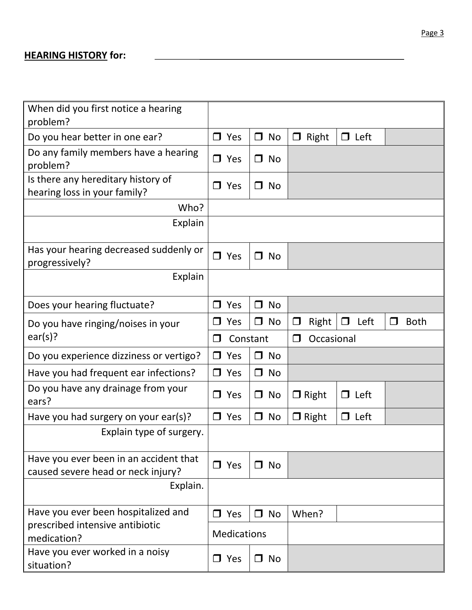## **HEARING HISTORY for:**

| When did you first notice a hearing<br>problem?                              |        |                    |        |           |                      |        |             |        |             |  |
|------------------------------------------------------------------------------|--------|--------------------|--------|-----------|----------------------|--------|-------------|--------|-------------|--|
| Do you hear better in one ear?                                               |        | $\Box$ Yes         |        | $\Box$ No | Right<br>$\Box$      |        | $\Box$ Left |        |             |  |
| Do any family members have a hearing<br>problem?                             |        | $\Box$ Yes         |        | $\n  o\n$ |                      |        |             |        |             |  |
| Is there any hereditary history of<br>hearing loss in your family?           | П.     | Yes                |        | $\Box$ No |                      |        |             |        |             |  |
| Who?                                                                         |        |                    |        |           |                      |        |             |        |             |  |
| Explain                                                                      |        |                    |        |           |                      |        |             |        |             |  |
| Has your hearing decreased suddenly or<br>progressively?                     |        | $\Box$ Yes         |        | $\Box$ No |                      |        |             |        |             |  |
| Explain                                                                      |        |                    |        |           |                      |        |             |        |             |  |
| Does your hearing fluctuate?                                                 | П.     | Yes                |        | $\Box$ No |                      |        |             |        |             |  |
| Do you have ringing/noises in your                                           | ┓      | Yes                |        | $\Box$ No | Right<br>$\Box$      | $\Box$ | Left        | $\Box$ | <b>Both</b> |  |
| ear(s)?                                                                      |        |                    |        |           | Occasional<br>$\Box$ |        |             |        |             |  |
|                                                                              | $\Box$ | Constant           |        |           |                      |        |             |        |             |  |
| Do you experience dizziness or vertigo?                                      | $\Box$ | Yes                |        | $\Box$ No |                      |        |             |        |             |  |
| Have you had frequent ear infections?                                        | Π.     | Yes                |        | $\Box$ No |                      |        |             |        |             |  |
| Do you have any drainage from your<br>ears?                                  | П.     | Yes                | $\Box$ | No        | $\Box$ Right         |        | $\Box$ Left |        |             |  |
| Have you had surgery on your ear(s)?                                         |        | $\Box$ Yes         |        | $\Box$ No | $\Box$ Right         |        | $\Box$ Left |        |             |  |
| Explain type of surgery.                                                     |        |                    |        |           |                      |        |             |        |             |  |
| Have you ever been in an accident that<br>caused severe head or neck injury? |        | $\Box$ Yes         |        | $\Box$ No |                      |        |             |        |             |  |
| Explain.                                                                     |        |                    |        |           |                      |        |             |        |             |  |
| Have you ever been hospitalized and                                          |        | $\Box$ Yes         |        | $\Box$ No | When?                |        |             |        |             |  |
| prescribed intensive antibiotic<br>medication?                               |        | <b>Medications</b> |        |           |                      |        |             |        |             |  |